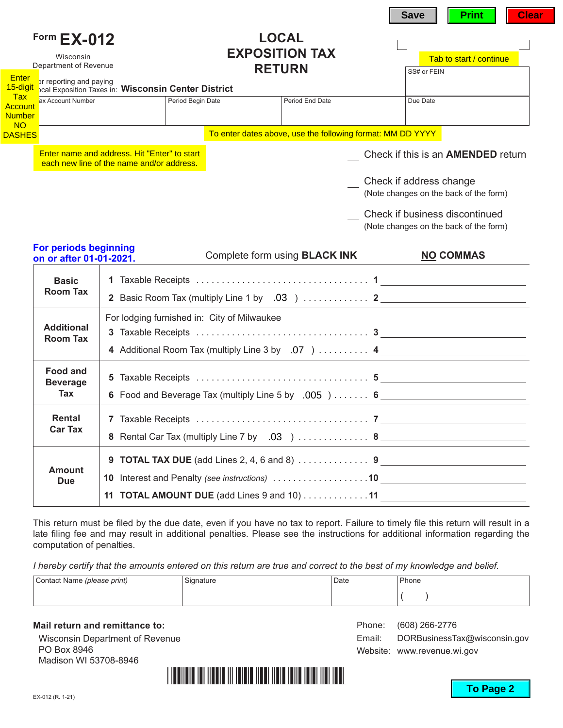|                                                                                                   |                                                                                           |                                                            | <b>Clear</b><br><b>Print</b><br><b>Save</b>                              |
|---------------------------------------------------------------------------------------------------|-------------------------------------------------------------------------------------------|------------------------------------------------------------|--------------------------------------------------------------------------|
| Form EX-012<br>Wisconsin<br>Department of Revenue                                                 |                                                                                           | <b>LOCAL</b><br><b>EXPOSITION TAX</b><br><b>RETURN</b>     | Tab to start / continue<br>SS# or FEIN                                   |
| Enter<br>or reporting and paying<br>15-digit<br><b>Tax</b><br>ax Account Number<br><b>Account</b> | cal Exposition Taxes in: Wisconsin Center District<br>Period Begin Date                   | Period End Date                                            | Due Date                                                                 |
| <b>Number</b><br><b>NO</b><br><b>DASHES</b>                                                       |                                                                                           | To enter dates above, use the following format: MM DD YYYY |                                                                          |
|                                                                                                   | Enter name and address. Hit "Enter" to start<br>each new line of the name and/or address. |                                                            | Check if this is an <b>AMENDED</b> return                                |
|                                                                                                   |                                                                                           |                                                            | Check if address change<br>(Note changes on the back of the form)        |
|                                                                                                   |                                                                                           |                                                            | Check if business discontinued<br>(Note changes on the back of the form) |
| For periods beginning<br>on or after 01-01-2021.                                                  |                                                                                           | Complete form using <b>BLACK INK</b>                       | <b>NO COMMAS</b>                                                         |
| <b>Basic</b><br><b>Room Tax</b>                                                                   |                                                                                           |                                                            | 2 Basic Room Tax (multiply Line 1 by .03 )  2                            |
| <b>Additional</b><br><b>Room Tax</b>                                                              | For lodging furnished in: City of Milwaukee                                               |                                                            | 4 Additional Room Tax (multiply Line 3 by .07 )  4                       |
| <b>Food and</b><br><b>Beverage</b><br>Tax                                                         |                                                                                           |                                                            | 6 Food and Beverage Tax (multiply Line 5 by .005 )  6                    |
| Rental<br><b>Car Tax</b>                                                                          |                                                                                           |                                                            | 8 Rental Car Tax (multiply Line 7 by .03 )  8                            |

| Amount<br><b>Due</b> | 10 Interest and Penalty (see instructions) 10   |
|----------------------|-------------------------------------------------|
|                      | 11 TOTAL AMOUNT DUE (add Lines $9$ and $10)$ 11 |
|                      |                                                 |

This return must be filed by the due date, even if you have no tax to report. Failure to timely file this return will result in a late filing fee and may result in additional penalties. Please see the instructions for additional information regarding the computation of penalties.

*I hereby certify that the amounts entered on this return are true and correct to the best of my knowledge and belief.*

| Contact Name (please print) | Signature | Date | Phone |
|-----------------------------|-----------|------|-------|
|                             |           |      |       |

**Mail return and remittance to:** Wisconsin Department of Revenue PO Box 8946 Madison WI 53708-8946



Phone: (608) 266-2776

Website: www.revenue.wi.gov

Email: DORBusinessTax@wisconsin.gov